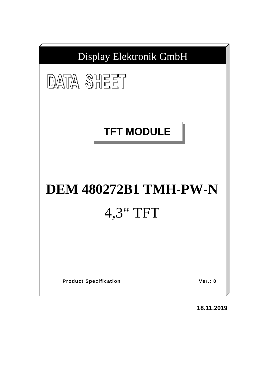

**18.11.2019**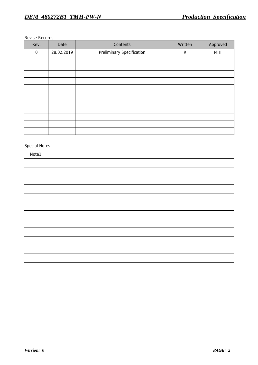#### Revise Records

| Rev.        | Date       | Contents                         | Written     | Approved |
|-------------|------------|----------------------------------|-------------|----------|
| $\mathbf 0$ | 28.02.2019 | <b>Preliminary Specification</b> | $\mathsf R$ | MHI      |
|             |            |                                  |             |          |
|             |            |                                  |             |          |
|             |            |                                  |             |          |
|             |            |                                  |             |          |
|             |            |                                  |             |          |
|             |            |                                  |             |          |
|             |            |                                  |             |          |
|             |            |                                  |             |          |
|             |            |                                  |             |          |
|             |            |                                  |             |          |
|             |            |                                  |             |          |

# Special Notes

| Note1. |  |
|--------|--|
|        |  |
|        |  |
|        |  |
|        |  |
|        |  |
|        |  |
|        |  |
|        |  |
|        |  |
|        |  |
|        |  |
|        |  |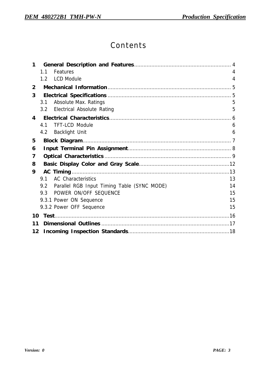# Contents

| 1              |                                                 |    |
|----------------|-------------------------------------------------|----|
|                | 1.1<br>Features                                 | 4  |
|                | <b>LCD Module</b><br>1.2                        | 4  |
| $\overline{2}$ |                                                 |    |
| 3              |                                                 |    |
|                | <b>Absolute Max. Ratings</b><br>3.1             | 5  |
|                | 3.2 Electrical Absolute Rating                  | 5  |
| 4              |                                                 |    |
|                | <b>TFT-LCD Module</b><br>4.1                    | 6  |
|                | 4.2 Backlight Unit                              | 6  |
| 5              |                                                 |    |
| 6              |                                                 |    |
| 7              |                                                 |    |
| 8              |                                                 |    |
| 9              |                                                 |    |
|                | <b>AC Characteristics</b><br>9.1                | 13 |
|                | 9.2 Parallel RGB Input Timing Table (SYNC MODE) | 14 |
|                | POWER ON/OFF SEQUENCE<br>$9.3 -$                | 15 |
|                | 9.3.1 Power ON Sequence                         | 15 |
|                | 9.3.2 Power OFF Sequence                        | 15 |
| 10             |                                                 |    |
| 11             |                                                 |    |
| 12             |                                                 |    |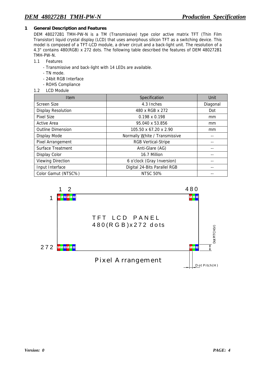## **1 General Description and Features**

DEM 480272B1 TMH-PW-N is a TM (Transmissive) type color active matrix TFT (Thin Film Transistor) liquid crystal display (LCD) that uses amorphous silicon TFT as a switching device. This model is composed of a TFT-LCD module, a driver circuit and a back-light unit. The resolution of a 4.3" contains 480(RGB) x 272 dots. The following table described the features of DEM 480272B1 TMH-PW-N.

- 1.1 Features
	- Transmissive and back-light with 14 LEDs are available.
	- TN mode.
	- 24bit RGB Interface
	- ROHS Compliance
- 1.2 LCD Module

| <b>Item</b>               | Specification                 | Unit     |
|---------------------------|-------------------------------|----------|
| Screen Size               | 4.3 Inches                    | Diagonal |
| <b>Display Resolution</b> | 480 x RGB x 272               | Dot      |
| <b>Pixel Size</b>         | $0.198 \times 0.198$          | mm.      |
| <b>Active Area</b>        | 95.040 x 53.856               | mm       |
| <b>Outline Dimension</b>  | 105.50 x 67.20 x 2.90         | mm       |
| Display Mode              | Normally White / Transmissive |          |
| Pixel Arrangement         | <b>RGB Vertical-Stripe</b>    |          |
| <b>Surface Treatment</b>  | Anti-Glare (AG)               |          |
| <b>Display Color</b>      | 16.7 Million                  |          |
| <b>Viewing Direction</b>  | 6 o'clock (Gray Inversion)    |          |
| Input Interface           | Digital 24-Bits Parallel RGB  |          |
| Color Gamut (NTSC%)       | <b>NTSC 50%</b>               |          |

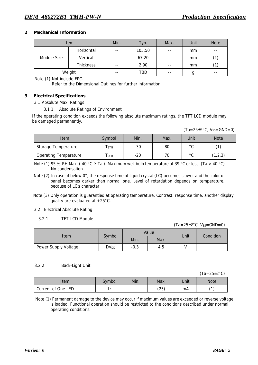#### **2 Mechanical Information**

|             | <b>Item</b>      | Min.  | Typ.   | Max.  | Unit | <b>Note</b> |
|-------------|------------------|-------|--------|-------|------|-------------|
| Module Size | Horizontal       | $- -$ | 105.50 | $- -$ | mm   | $- -$       |
|             | Vertical         | $- -$ | 67.20  | $ -$  | mm   | (1)         |
|             | <b>Thickness</b> | $- -$ | 2.90   | $- -$ | mm   | (1)         |
| Weight      |                  | $- -$ | TBD    | $- -$ | g    | $- -$       |

Note (1) Not include FPC.

Refer to the Dimensional Outlines for further information.

#### **3 Electrical Specifications**

3.1 Absolute Max. Ratings

3.1.1 Absolute Ratings of Environment

If the operating condition exceeds the following absolute maximum ratings, the TFT LCD module may be damaged permanently.

 $(Ta=25\pm2\degree C, Vss=GND=0)$ 

| <b>Item</b>                  | Symbol | Min.  | Max. | Unit                | <b>Note</b> |
|------------------------------|--------|-------|------|---------------------|-------------|
| Storage Temperature          | l stg  | $-30$ | 80   | $\circ$ $\sim$<br>ີ |             |
| <b>Operating Temperature</b> | l opr  | $-20$ | 70   | $\circ$ $\sim$<br>ີ | (1,2,3)     |

Note (1) 95 % RH Max. (40 °C  $\geq$  Ta ). Maximum wet-bulb temperature at 39 °C or less. (Ta > 40 °C) No condensation.

Note (2) In case of below 0°, the response time of liquid crystal (LC) becomes slower and the color of panel becomes darker than normal one. Level of retardation depends on temperature, because of LC's character

- Note (3) Only operation is guarantied at operating temperature. Contrast, response time, another display quality are evaluated at +25°C.
- 3.2 Electrical Absolute Rating
	- 3.2.1 TFT-LCD Module

 $(Ta=25\pm2\degree C, V_{SS}=GND=0)$ 

| ∣tem                 | Symbol    |        | Value | Unit | Condition |  |
|----------------------|-----------|--------|-------|------|-----------|--|
|                      |           | Min.   | Max.  |      |           |  |
| Power Supply Voltage | $DV_{DD}$ | $-0.3$ | 4.5   |      |           |  |

#### 3.2.2 Back-Light Unit

(Ta=25±2°C)

| Item               | Symbol <sup>1</sup> | Min. | Max. | Unit | <b>Note</b>    |
|--------------------|---------------------|------|------|------|----------------|
| Current of One LED | 1B                  | $ -$ | (25) | mA   | $\overline{1}$ |

Note (1) Permanent damage to the device may occur if maximum values are exceeded or reverse voltage is loaded. Functional operation should be restricted to the conditions described under normal operating conditions.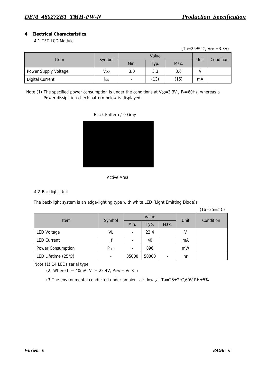## **4 Electrical Characteristics**

# 4.1 TFT-LCD Module

 $(Ta=25\pm2\degree C, V_{DD} = 3.3V)$ 

| <b>Item</b>            |             |                          | Unit |      |    |           |
|------------------------|-------------|--------------------------|------|------|----|-----------|
|                        | Symbol      | Min.                     | Typ. | Max. |    | Condition |
| Power Supply Voltage   | Vdd         | 3.0                      | 3.3  | 3.6  |    |           |
| <b>Digital Current</b> | <b>I</b> DD | $\overline{\phantom{0}}$ | (13) | (15) | mA |           |

Note (1) The specified power consumption is under the conditions at  $V_{CC}=3.3V$  ,  $F_V=60Hz$ , whereas a Power dissipation check pattern below is displayed.





#### 4.2 Backlight Unit

The back-light system is an edge-lighting type with white LED (Light Emitting Diode)s.

(Ta=25±2°C)

|                     |                          | Value |       |      | Unit | Condition |  |
|---------------------|--------------------------|-------|-------|------|------|-----------|--|
| Item                | Symbol                   | Min.  | Typ.  | Max. |      |           |  |
| <b>LED Voltage</b>  | VL                       |       | 22.4  |      | v    |           |  |
| <b>LED Current</b>  | lf                       |       | 40    |      | mA   |           |  |
| Power Consumption   | PLED                     | ٠     | 896   |      | mW   |           |  |
| LED Lifetime (25°C) | $\overline{\phantom{0}}$ | 35000 | 50000 | -    | hr   |           |  |

Note (1) 14 LEDs serial type.

(2) Where  $I_f = 40$ mA,  $V_L = 22.4V$ ,  $P_{LED} = V_L \times I_f$ 

(3) The environmental conducted under ambient air flow , at Ta=25 $\pm$ 2°C,60%RH $\pm$ 5%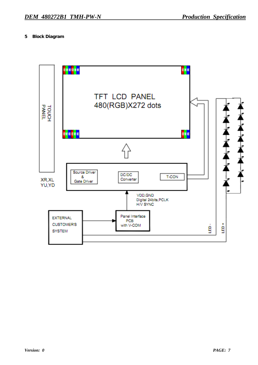## **5 Block Diagram**

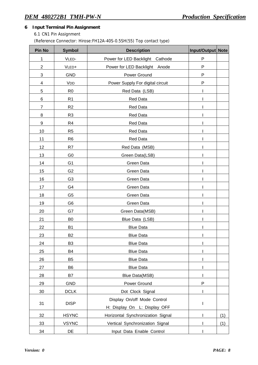# **6 Input Terminal Pin Assignment**

6.1 CN1 Pin Assignment

## (Reference Connector: Hirose:FH12A-40S-0.5SH(55) Top contact type)

| <b>Pin No</b>  | <b>Symbol</b>  | <b>Description</b>                           | Input/Output Note |     |
|----------------|----------------|----------------------------------------------|-------------------|-----|
| 1              | VLED-          | Power for LED Backlight Cathode              | $\mathsf{P}$      |     |
| $\mathbf{2}$   | VLED+          | Power for LED Backlight Anode                | ${\sf P}$         |     |
| 3              | <b>GND</b>     | Power Ground                                 | P                 |     |
| 4              | VDD            | Power Supply For digital circuit             | P                 |     |
| 5              | R <sub>0</sub> | Red Data (LSB)                               |                   |     |
| 6              | R1             | Red Data                                     |                   |     |
| $\overline{7}$ | R <sub>2</sub> | Red Data                                     |                   |     |
| 8              | R <sub>3</sub> | Red Data                                     |                   |     |
| 9              | R <sub>4</sub> | Red Data                                     |                   |     |
| 10             | R <sub>5</sub> | Red Data                                     |                   |     |
| 11             | R <sub>6</sub> | Red Data                                     |                   |     |
| 12             | R7             | Red Data (MSB)                               |                   |     |
| 13             | G <sub>0</sub> | Green Data(LSB)                              |                   |     |
| 14             | G <sub>1</sub> | Green Data                                   |                   |     |
| 15             | G <sub>2</sub> | Green Data                                   |                   |     |
| 16             | G <sub>3</sub> | Green Data                                   |                   |     |
| 17             | G4             | Green Data                                   |                   |     |
| 18             | G <sub>5</sub> | Green Data                                   |                   |     |
| 19             | G <sub>6</sub> | Green Data                                   |                   |     |
| 20             | G7             | Green Data(MSB)                              |                   |     |
| 21             | B <sub>0</sub> | Blue Data (LSB)                              |                   |     |
| 22             | <b>B1</b>      | <b>Blue Data</b>                             |                   |     |
| 23             | <b>B2</b>      | <b>Blue Data</b>                             |                   |     |
| 24             | B <sub>3</sub> | <b>Blue Data</b>                             |                   |     |
| 25             | B4             | <b>Blue Data</b>                             |                   |     |
| 26             | B <sub>5</sub> | <b>Blue Data</b>                             |                   |     |
| 27             | B <sub>6</sub> | <b>Blue Data</b>                             |                   |     |
| 28             | <b>B7</b>      | <b>Blue Data(MSB)</b>                        |                   |     |
| 29             | <b>GND</b>     | Power Ground                                 | ${\sf P}$         |     |
| 30             | <b>DCLK</b>    | Dot Clock Signal                             |                   |     |
|                |                | Display On/off Mode Control                  |                   |     |
| 31             | <b>DISP</b>    | $\mathbf{I}$<br>H: Display On L: Display OFF |                   |     |
| 32             | <b>HSYNC</b>   | Horizontal Synchronization Signal            |                   | (1) |
| 33             | <b>VSYNC</b>   | Vertical Synchronization Signal              |                   | (1) |
| 34             | DE             | Input Data Enable Control                    |                   |     |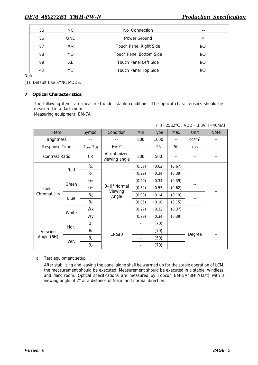| 35 | NC. | No Connection                  | $- -$ |  |
|----|-----|--------------------------------|-------|--|
| 36 | GND | Power Ground                   |       |  |
| 37 | XR  | <b>Touch Panel Right Side</b>  | I/O   |  |
| 38 | YD  | <b>Touch Panel Bottom Side</b> | I/O   |  |
| 39 | XL  | <b>Touch Panel Left Side</b>   | I/O   |  |
| 40 | YU  | <b>Touch Panel Top Side</b>    | I/O   |  |

Note:

(1). Default Use SYNC MODE.

#### **7 Optical Characteristics**

The following items are measured under stable conditions. The optical characteristics should be measured in a dark room

Measuring equipment: BM-7A

| $(Ta=25\pm2\degree C$ , VDD =3.3V, If=40mA) |  |
|---------------------------------------------|--|
|                                             |  |

| <b>Item</b>           |       | Symbol                | Condition                     | Min                      | <b>Type</b> | <b>Max</b> | Unit              | <b>Note</b> |
|-----------------------|-------|-----------------------|-------------------------------|--------------------------|-------------|------------|-------------------|-------------|
| <b>Brightness</b>     |       |                       |                               | 800                      | 1000        | $ -$       | cd/m <sup>2</sup> | --          |
| <b>Response Time</b>  |       | $T_{on+}$ $T_{off}$   | $\theta = 0^{\circ}$          | $-$                      | 25          | 50         | ms                |             |
| <b>Contrast Ratio</b> |       | CR                    | At optimized<br>viewing angle | 300                      | 500         |            |                   |             |
|                       |       | Rx                    |                               | (0.57)                   | (0.62)      | (0.67)     |                   |             |
|                       | Red   | $R_Y$                 |                               | (0.29)                   | (0.34)      | (0.39)     |                   |             |
|                       |       | Gx                    |                               | (0.29)                   | (0.34)      | (0.39)     |                   |             |
| Color                 | Green | Gy                    | $\theta = 0^{\circ}$ Normal   | (0.52)                   | (0.57)      | (0.62)     |                   |             |
| Chromaticity          | Blue  | Bx                    | Viewing<br>Angle              | (0.09)                   | (0.14)      | (0.19)     |                   |             |
|                       |       | $B_Y$                 |                               | (0.05)                   | (0.10)      | (0.15)     | --                |             |
|                       |       | Wx                    |                               | (0.27)                   | (0.32)      | (0.37)     |                   |             |
|                       | White | Wy                    |                               | (0.29)                   | (0.34)      | (0.39)     |                   |             |
|                       | Hor.  | $\theta_{\mathsf{R}}$ |                               |                          | (70)        |            |                   |             |
| Viewing               |       | $\theta_L$            | $CR \ge 10$                   |                          | (70)        |            |                   |             |
| Angle (6H)            |       | $\theta$ u            |                               | $\overline{\phantom{a}}$ | (50)        |            | Degree            | --          |
|                       | Ver.  | $\theta_D$            |                               | -                        | (70)        |            |                   |             |

a. Test equipment setup

After stabilizing and leaving the panel alone shall be warmed up for the stable operation of LCM, the measurement should be executed. Measurement should be executed in a stable, windless, and dark room. Optical specifications are measured by Topcon BM-5A/BM-7(fast) with a viewing angle of 2° at a distance of 50cm and normal direction.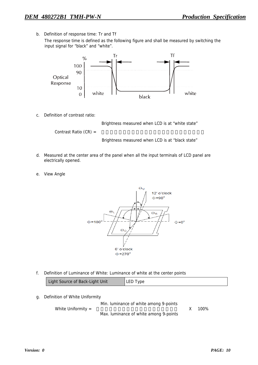b. Definition of response time: Tr and Tf

The response time is defined as the following figure and shall be measured by switching the input signal for "black" and "white".



c. Definition of contrast ratio:



- d. Measured at the center area of the panel when all the input terminals of LCD panel are electrically opened.
- e. View Angle



f. Definition of Luminance of White: Luminance of white at the center points

| Light Source of Back-Light Unit | LED Type |
|---------------------------------|----------|
|                                 |          |

g. Definition of White Uniformity

Min. luminance of white among 9-points

White Uniformity =  $\frac{1}{2}$   $\frac{100\%}{2}$ 

Max. luminance of white among 9-points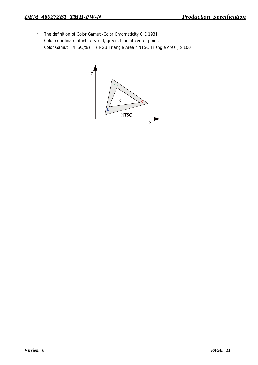h. The definition of Color Gamut -Color Chromaticity CIE 1931 Color coordinate of white & red, green, blue at center point. Color Gamut : NTSC(%) = ( RGB Triangle Area / NTSC Triangle Area ) x 100

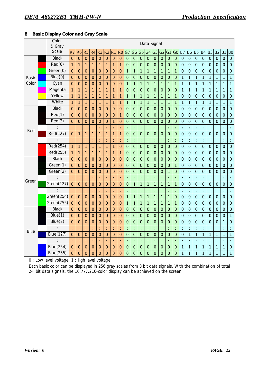## **8 Basic Display Color and Gray Scale**

|             | Color<br>& Gray  |                |                | Data Signal    |                |                  |                |                      |                  |                |                      |                |                |                      |                      |                      |                |                      |                  |                      |                |                |                      |                      |                      |
|-------------|------------------|----------------|----------------|----------------|----------------|------------------|----------------|----------------------|------------------|----------------|----------------------|----------------|----------------|----------------------|----------------------|----------------------|----------------|----------------------|------------------|----------------------|----------------|----------------|----------------------|----------------------|----------------------|
|             | <b>Scale</b>     | R <sub>7</sub> | R <sub>6</sub> | R <sub>5</sub> | R4             | R <sub>3</sub>   | R <sub>2</sub> | R <sub>1</sub>       | R <sub>0</sub>   | G7             | G <sub>6</sub>       | G <sub>5</sub> | G <sub>4</sub> | G3 G2                |                      | G <sub>1</sub>       | G <sub>0</sub> | <b>B7</b>            | <b>B6</b>        | <b>B5</b>            | <b>B4</b>      | <b>B3</b>      | B <sub>2</sub>       | B <sub>1</sub>       | B <sub>0</sub>       |
|             | <b>Black</b>     | $\overline{0}$ | $\mathbf{0}$   | $\overline{0}$ | $\overline{0}$ | $\overline{0}$   | $\overline{0}$ | $\overline{0}$       | $\mathbf{0}$     | $\mathbf 0$    | $\overline{0}$       | $\overline{0}$ | $\mathbf 0$    | $\mathbf 0$          | $\mathbf 0$          | $\mathbf 0$          | $\mathbf 0$    | $\mathbf 0$          | $\mathbf{0}$     | $\overline{0}$       | $\overline{0}$ | $\mathbf 0$    | $\mathbf 0$          | $\mathbf 0$          | $\mathbf 0$          |
|             | Red(0)           | $\overline{1}$ | $\overline{1}$ | $\overline{1}$ | $\mathbf{1}$   | $\overline{1}$   | $\mathbf{1}$   | 1                    | $\mathbf{1}$     | $\overline{0}$ | $\overline{0}$       | $\overline{0}$ | $\overline{0}$ | $\overline{0}$       | $\mathbf 0$          | $\overline{0}$       | $\overline{0}$ | $\overline{0}$       | $\mathbf 0$      | $\overline{0}$       | $\overline{0}$ | $\overline{0}$ | $\mathbf 0$          | $\overline{0}$       | $\mathbf 0$          |
|             | Green(0)         | $\overline{0}$ | $\mathbf{0}$   | $\overline{0}$ | $\overline{0}$ | $\overline{0}$   | $\overline{0}$ | $\overline{0}$       | $\overline{0}$   | $\mathbf{1}$   | $\overline{1}$       | $\mathbf{1}$   | $\mathbf{1}$   | $\mathbf{1}$         | $\mathbf{1}$         | $\overline{1}$       | $\mathbf{1}$   | $\mathbf 0$          | $\mathbf 0$      | $\overline{0}$       | $\mathbf 0$    | $\overline{0}$ | $\mathbf 0$          | $\overline{0}$       | $\mathbf 0$          |
| Basic       | Blue(0)          | $\overline{0}$ | $\mathbf 0$    | $\mathbf{0}$   | $\overline{0}$ | $\overline{0}$   | $\overline{0}$ | $\mathbf 0$          | $\mathbf{0}$     | $\mathbf 0$    | $\mathbf 0$          | $\mathbf{0}$   | $\mathbf 0$    | $\overline{0}$       | $\mathbf 0$          | $\mathbf 0$          | $\mathbf 0$    | $\mathbf{1}$         | 1                | $\mathbf{1}$         | $\mathbf{1}$   | $\mathbf{1}$   | $\mathbf{1}$         | 1                    | $\overline{1}$       |
| Color       | Cyan             | $\overline{0}$ | $\overline{0}$ | $\mathbf 0$    | $\overline{0}$ | $\mathbf 0$      | $\overline{0}$ | $\overline{0}$       | $\mathbf 0$      | $\overline{1}$ | 1                    | $\mathbf{1}$   | $\mathbf{1}$   | $\mathbf{1}$         | $\mathbf{1}$         | $\mathbf{1}$         | 1              | 1                    | 1                | 1                    | 1              | 1              | 1                    | 1                    | $\overline{1}$       |
|             | Magenta          | $\mathbf{1}$   | 1              | 1              | $\mathbf{1}$   | $\mathbf{1}$     | $\mathbf{1}$   | 1                    | $\mathbf{1}$     | $\pmb{0}$      | $\overline{0}$       | $\mathbf 0$    | $\mathbf 0$    | $\mathbf 0$          | $\pmb{0}$            | $\mathbf 0$          | $\pmb{0}$      | $\mathbf{1}$         | 1                | 1                    | $\mathbf{1}$   | $\mathbf{1}$   | $\mathbf{1}$         | 1                    | $\mathbf{1}$         |
|             | Yellow           | $\mathbf{1}$   | $\mathbf{1}$   | $\mathbf{1}$   | $\mathbf{1}$   | $\mathbf{1}$     | $\mathbf{1}$   | 1                    | $\mathbf{1}$     | 1              | $\overline{1}$       | $\mathbf{1}$   | $\overline{1}$ | $\mathbf{1}$         | $\mathbf{1}$         | $\mathbf{1}$         | 1              | $\overline{0}$       | $\boldsymbol{0}$ | $\mathbf 0$          | $\mathbf 0$    | $\mathbf 0$    | $\mathbf 0$          | $\boldsymbol{0}$     | $\mathbf 0$          |
|             | White            | $\mathbf{1}$   | $\mathbf{1}$   | 1              | $\mathbf{1}$   | $\mathbf{1}$     | $\mathbf{1}$   | 1                    | $\overline{1}$   | $\overline{1}$ | $\mathbf{1}$         | $\mathbf{1}$   | $\overline{1}$ | $\mathbf{1}$         | $\overline{1}$       | $\mathbf{1}$         | $\mathbf{1}$   | $\overline{1}$       | $\overline{1}$   | $\overline{1}$       | $\mathbf{1}$   | $\mathbf{1}$   | $\mathbf{1}$         | 1                    | $\overline{1}$       |
|             | <b>Black</b>     | $\overline{0}$ | $\mathbf 0$    | $\mathbf 0$    | $\mathbf{0}$   | $\overline{0}$   | $\mathbf{0}$   | $\overline{0}$       | $\mathbf{0}$     | $\mathbf 0$    | $\mathbf 0$          | $\mathbf 0$    | $\mathbf 0$    | $\overline{0}$       | $\overline{0}$       | $\mathbf 0$          | $\mathbf 0$    | $\mathbf 0$          | $\mathbf 0$      | $\mathbf 0$          | $\mathbf 0$    | $\mathbf 0$    | $\mathbf 0$          | $\overline{0}$       | $\overline{0}$       |
|             | Red(1)           | $\overline{0}$ | $\mathbf 0$    | $\mathbf{0}$   | $\mathbf 0$    | $\mathbf 0$      | $\mathbf 0$    | $\mathbf 0$          | $\mathbf{1}$     | $\mathbf 0$    | $\overline{0}$       | $\overline{0}$ | $\overline{0}$ | $\mathbf 0$          | $\mathbf 0$          | $\overline{0}$       | $\mathbf 0$    | $\mathbf 0$          | $\overline{0}$   | $\overline{0}$       | $\overline{0}$ | $\overline{0}$ | $\mathbf 0$          | $\overline{0}$       | $\overline{0}$       |
|             | Red(2)           | $\mathbf 0$    | 0              | $\overline{0}$ | $\overline{0}$ | $\mathbf 0$      | $\overline{0}$ | 1                    | $\mathbf 0$      | $\overline{0}$ | $\overline{0}$       | $\overline{0}$ | $\overline{0}$ | $\overline{0}$       | $\mathbf 0$          | $\overline{0}$       | $\overline{0}$ | $\overline{0}$       | 0                | $\overline{0}$       | $\overline{0}$ | $\overline{0}$ | $\overline{0}$       | $\overline{0}$       | $\overline{0}$       |
|             |                  | ÷              | t              | ł,             | t              | ł,               | ċ              | ċ                    | t                | $\ddot{\cdot}$ | ÷                    | ċ              | ÷              | $\vdots$             | ł,                   | ł,                   | t              | $\frac{1}{2}$        | ŧ                | $\frac{1}{2}$        | ŧ              | ŧ              | $\ddot{\phantom{0}}$ | ł,                   | $\ddot{\phantom{0}}$ |
| Red         | Red(127)         | $\overline{0}$ | 1              | $\overline{1}$ | $\mathbf{1}$   | $\mathbf{1}$     | $\mathbf{1}$   | 1                    | $\overline{1}$   | $\mathbf 0$    | $\overline{0}$       | $\overline{0}$ | $\overline{0}$ | $\mathbf 0$          | $\overline{0}$       | $\overline{0}$       | $\mathbf 0$    | $\mathbf 0$          | $\boldsymbol{0}$ | $\overline{0}$       | $\mathbf 0$    | $\overline{0}$ | $\mathbf 0$          | $\mathbf 0$          | $\overline{0}$       |
|             |                  | ÷              | t              | ł,             |                | t                | ċ              | $\ddot{\phantom{a}}$ | ċ                | $\ddot{\cdot}$ | $\ddot{\phantom{a}}$ | $\vdots$       | ł,             | $\ddot{\phantom{a}}$ | l.                   | $\ddot{\phantom{a}}$ |                | $\frac{1}{2}$        | ŧ                | $\frac{1}{2}$        | t              | ŧ              | $\ddot{\phantom{a}}$ | ł,                   | $\frac{1}{2}$        |
|             | Red(254)         | $\overline{1}$ | $\overline{1}$ | $\overline{1}$ | $\overline{1}$ | $\overline{1}$   | $\overline{1}$ | $\overline{1}$       | $\overline{0}$   | $\mathbf 0$    | $\overline{0}$       | $\mathbf 0$    | $\overline{0}$ | $\mathbf 0$          | $\overline{0}$       | $\overline{0}$       | $\mathbf 0$    | $\mathbf 0$          | $\mathbf 0$      | $\overline{0}$       | $\mathbf 0$    | $\overline{0}$ | $\mathbf 0$          | $\overline{0}$       | $\overline{0}$       |
|             | Red(255)         | $\mathbf{1}$   | $\mathbf{1}$   | $\mathbf{1}$   | $\overline{1}$ | $\mathbf{1}$     | $\mathbf{1}$   | 1                    | $\mathbf{1}$     | $\mathbf 0$    | $\overline{0}$       | $\overline{0}$ | $\mathbf 0$    | $\overline{0}$       | $\overline{0}$       | $\overline{0}$       | $\mathbf 0$    | $\mathbf 0$          | $\overline{0}$   | $\overline{0}$       | $\overline{0}$ | $\overline{0}$ | $\mathbf 0$          | $\overline{0}$       | $\overline{0}$       |
|             | <b>Black</b>     | $\overline{0}$ | $\mathbf 0$    | $\mathbf{0}$   | $\overline{0}$ | $\mathbf 0$      | $\overline{0}$ | $\mathbf 0$          | $\mathbf{0}$     | $\mathbf 0$    | $\mathbf 0$          | $\mathbf 0$    | $\mathbf 0$    | $\overline{0}$       | $\mathbf 0$          | $\mathbf 0$          | $\mathbf 0$    | $\mathbf 0$          | $\mathbf 0$      | $\overline{0}$       | $\mathbf 0$    | $\overline{0}$ | $\overline{0}$       | $\overline{0}$       | $\mathbf 0$          |
|             | Green(1)         | $\overline{0}$ | $\mathbf{0}$   | $\overline{0}$ | $\overline{0}$ | $\overline{0}$   | $\overline{0}$ | $\overline{0}$       | $\overline{0}$   | $\mathbf 0$    | $\overline{0}$       | $\overline{0}$ | $\overline{0}$ | $\overline{0}$       | $\overline{0}$       | $\overline{0}$       | $\mathbf{1}$   | $\overline{0}$       | $\overline{0}$   | $\mathbf 0$          | $\overline{0}$ | $\overline{0}$ | $\overline{0}$       | $\overline{0}$       | $\overline{0}$       |
|             | Green(2)         | $\overline{0}$ | $\mathbf 0$    | $\overline{0}$ | $\overline{0}$ | $\overline{0}$   | $\overline{0}$ | $\overline{0}$       | $\overline{0}$   | $\mathbf 0$    | $\overline{0}$       | $\overline{0}$ | $\overline{0}$ | $\overline{0}$       | $\overline{0}$       | $\overline{1}$       | $\mathbf 0$    | $\mathbf 0$          | $\overline{0}$   | $\overline{0}$       | $\mathbf 0$    | $\overline{0}$ | $\overline{0}$       | $\overline{0}$       | $\mathbf 0$          |
|             |                  | ł,             | t              | ł,             |                | t                | ċ              | þ                    | ċ                | t              | ł,                   | ¢              | ÷              | ċ                    |                      | $\ddot{\phantom{0}}$ |                | $\ddot{\phantom{a}}$ | t                | ł,                   |                | t              | $\ddot{\phantom{a}}$ | t                    | $\frac{1}{2}$        |
| Green       | Green(127)       | $\overline{0}$ | $\mathbf 0$    | $\overline{0}$ | $\mathbf{0}$   | $\overline{0}$   | $\overline{0}$ | $\overline{0}$       | $\mathbf{0}$     | $\overline{0}$ | $\mathbf{1}$         | $\overline{1}$ | $\overline{1}$ | $\overline{1}$       | $\overline{1}$       | $\overline{1}$       | $\overline{1}$ | $\mathbf 0$          | $\overline{0}$   | $\overline{0}$       | $\overline{0}$ | $\overline{0}$ | $\overline{0}$       | $\overline{0}$       | $\overline{0}$       |
|             |                  |                |                | t              |                | t                | t              |                      | t                |                | t                    | ċ              |                |                      | $\ddot{\phantom{a}}$ | ċ                    |                | $\ddot{\phantom{a}}$ | t                | $\ddot{\phantom{a}}$ |                | t              |                      |                      | ÷                    |
|             | Green(254)       | $\mathbf 0$    | $\mathbf 0$    | $\mathbf 0$    | $\mathbf 0$    | 0                | $\mathbf 0$    | 0                    | $\mathbf 0$      | 1              | $\mathbf{1}$         | $\mathbf{1}$   | $\mathbf{1}$   | $\mathbf{1}$         | $\mathbf{1}$         | 1                    | $\pmb{0}$      | $\mathbf 0$          | $\mathbf 0$      | $\mathbf 0$          | $\mathbf 0$    | $\mathbf 0$    | 0                    | $\boldsymbol{0}$     | $\mathbf 0$          |
|             | Green(255)       | $\mathbf 0$    | $\mathbf 0$    | $\mathbf 0$    | $\mathbf 0$    | $\overline{0}$   | $\overline{0}$ | $\overline{0}$       | $\mathbf 0$      | $\overline{1}$ | $\mathbf{1}$         | $\overline{1}$ | $\overline{1}$ | $\overline{1}$       | $\overline{1}$       | $\mathbf{1}$         | $\mathbf{1}$   | $\mathbf 0$          | $\mathbf 0$      | $\overline{0}$       | $\mathbf 0$    | $\mathbf 0$    | $\overline{0}$       | $\overline{0}$       | $\overline{0}$       |
|             | <b>Black</b>     | $\mathbf 0$    | $\bf 0$        | $\mathbf 0$    | $\mathbf{0}$   | $\mathbf 0$      | $\mathbf 0$    | $\mathbf 0$          | $\boldsymbol{0}$ | $\pmb{0}$      | $\mathbf 0$          | $\mathbf 0$    | $\mathbf 0$    | $\mathbf 0$          | $\mathbf 0$          | $\mathbf 0$          | $\pmb{0}$      | $\mathbf 0$          | $\boldsymbol{0}$ | $\mathbf 0$          | $\mathbf 0$    | $\mathbf 0$    | $\mathbf 0$          | $\mathbf 0$          | $\mathbf 0$          |
|             | $B$ lue $(1)$    | $\overline{0}$ | $\mathbf 0$    | $\mathbf 0$    | $\mathbf 0$    | $\mathbf 0$      | $\mathbf{0}$   | $\overline{0}$       | $\mathbf 0$      | $\mathbf 0$    | $\overline{0}$       | $\mathbf 0$    | $\mathbf 0$    | $\mathbf 0$          | $\mathbf 0$          | $\mathbf 0$          | $\mathbf 0$    | $\overline{0}$       | $\mathbf 0$      | $\overline{0}$       | $\mathbf 0$    | $\overline{0}$ | $\mathbf 0$          | $\boldsymbol{0}$     | $\overline{1}$       |
|             | Blue(2)          | $\mathbf 0$    | $\mathbf 0$    | $\overline{0}$ | $\overline{0}$ | $\overline{0}$   | $\mathbf{0}$   | $\overline{0}$       | $\mathbf{0}$     | $\overline{0}$ | $\overline{0}$       | $\mathbf 0$    | $\overline{0}$ | $\overline{0}$       | $\overline{0}$       | $\overline{0}$       | $\mathbf 0$    | $\mathbf 0$          | $\overline{0}$   | $\overline{0}$       | $\overline{0}$ | $\overline{0}$ | $\overline{0}$       | 1                    | $\overline{0}$       |
| <b>Blue</b> |                  | ÷              |                | t,             |                | t                | t              |                      | t                |                | ÷                    |                | t              |                      | $\ddot{\phantom{a}}$ |                      |                | $\ddot{\phantom{a}}$ | t                | $\ddot{\cdot}$       |                | ċ              |                      | ċ                    |                      |
|             | <b>Blue(127)</b> | $\mathbf 0$    | 0              | $\overline{0}$ | $\overline{0}$ | $\mathbf 0$      | $\mathbf{0}$   | $\overline{0}$       | $\mathbf 0$      | $\overline{0}$ | $\mathbf 0$          | $\mathbf 0$    | $\mathbf 0$    | $\overline{0}$       | $\mathbf 0$          | $\mathbf 0$          | $\mathbf 0$    | $\overline{0}$       | $\mathbf{1}$     | $\overline{1}$       | $\mathbf{1}$   | $\overline{1}$ | $\mathbf{1}$         | 1                    | $\overline{1}$       |
|             |                  |                | t              | ł,             | ċ              | ł,               | ċ              | ł,                   | ċ                | t              | ÷                    | $\vdots$       | ÷              | $\ddot{\phantom{a}}$ | ł,                   | ÷                    | ÷              | ÷                    | ŧ                | ÷                    | ł,             | ŧ              | $\ddot{\phantom{a}}$ | $\ddot{\phantom{a}}$ | $\frac{1}{2}$        |
|             | <b>Blue(254)</b> | 0              | $\pmb{0}$      | $\mathbf{0}$   | $\mathbf{0}$   | $\boldsymbol{0}$ | $\mathbf 0$    | $\mathbf 0$          | $\pmb{0}$        | $\mathbf 0$    | $\mathbf 0$          | $\mathbf 0$    | $\mathbf 0$    | $\mathbf 0$          | $\mathbf 0$          | $\mathbf 0$          | $\pmb{0}$      | 1                    | 1                | 1                    | $\mathbf{1}$   | 1              | 1                    | 1                    | $\mathbf 0$          |
|             | <b>Blue(255)</b> | $\overline{0}$ | $\overline{0}$ | $\overline{0}$ | $\overline{0}$ | $\overline{0}$   | $\overline{0}$ | $\overline{0}$       | $\overline{0}$   | $\overline{0}$ | $\overline{0}$       | $\overline{0}$ | $\overline{0}$ | $\overline{0}$       | $\overline{0}$       | $\overline{0}$       | $\overline{0}$ | $\overline{1}$       | 1                | $\mathbf{1}$         | $\mathbf{1}$   | 1              | $\mathbf{1}$         | 1                    | $\overline{1}$       |

0 : Low level voltage, 1 :High level voltage

Each basic color can be displayed in 256 gray scales from 8 bit data signals. With the combination of total 24 bit data signals, the 16,777,216-color display can be achieved on the screen.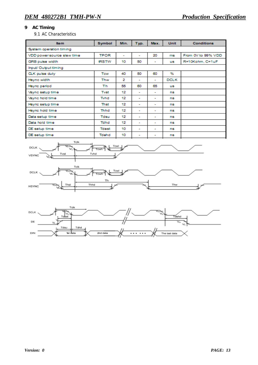# **9 AC Timing**

9.1 AC Characteristics

| Item                       | Symbol       | Min. | Typ.                     | Max.                     | <b>Unit</b> | <b>Conditions</b>  |
|----------------------------|--------------|------|--------------------------|--------------------------|-------------|--------------------|
| System operation timing    |              |      |                          |                          |             |                    |
| VDD power source slew time | <b>TPOR</b>  | ۰    | $\blacksquare$           | 20                       | ms          | From 0V to 99% VDD |
| GRB pulse width            | <b>tRSTW</b> | 10   | 50                       | ۰                        | <b>US</b>   | R=10Kohm, C=1uF    |
| Input/ Output timing       |              |      |                          |                          |             |                    |
| <b>CLK</b> pulse duty      | Tow          | 40   | 50                       | 60                       | ₩           |                    |
| Hsync width                | Thw          | 2    | $\overline{\phantom{0}}$ | $\overline{\phantom{0}}$ | <b>DCLK</b> |                    |
| Hsync period               | Th           | 55   | 60                       | 65                       | <b>US</b>   |                    |
| Vsync setup time           | Tyst         | 12   | ٠                        | ۰                        | ns          |                    |
| Vsync hold time            | Tyhd         | 12   | $\overline{\phantom{a}}$ | ۰                        | ns          |                    |
| Hsync setup time           | Thst         | 12   | $\overline{\phantom{0}}$ | ۰                        | ns          |                    |
| Hsync hold time            | Thhd         | 12   | ۰                        | ۰                        | ns          |                    |
| Data setup time            | Tdsu         | 12   | ۰                        | ۰                        | ns          |                    |
| Data hold time             | Tdhd         | 12   | $\overline{\phantom{a}}$ | $\overline{\phantom{a}}$ | ns          |                    |
| DE setup time              | Tdest        | 10   | $\overline{\phantom{a}}$ | ٠                        | ns          |                    |
| DE setup time              | Tdehd        | 10   | ۰                        | ۰                        | ns          |                    |
|                            |              |      |                          |                          |             |                    |



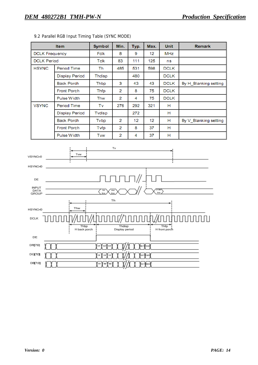|                       | <b>Item</b>           | <b>Symbol</b> | Min. | Typ. | Max. | <b>Unit</b> | <b>Remark</b>         |
|-----------------------|-----------------------|---------------|------|------|------|-------------|-----------------------|
| <b>DCLK Frequency</b> |                       | Fclk          | 8    | 9    | 12   | MHz         |                       |
| <b>DCLK Period</b>    |                       | Tclk          | 83   | 111  | 125  | ns          |                       |
| <b>HSYNC</b>          | <b>Period Time</b>    | Th            | 485  | 531  | 598  | <b>DCLK</b> |                       |
|                       | <b>Display Period</b> | Thdisp        |      | 480  |      | <b>DCLK</b> |                       |
|                       | <b>Back Porch</b>     | Thbp          | 3    | 43   | 43   | <b>DCLK</b> | By H Blanking setting |
|                       | <b>Front Porch</b>    | Thfp          | 2    | 8    | 75   | <b>DCLK</b> |                       |
|                       | <b>Pulse Width</b>    | Thw           | 2    | 4    | 75   | <b>DCLK</b> |                       |
| <b>VSYNC</b>          | <b>Period Time</b>    | Tv            | 276  | 292  | 321  | н           |                       |
|                       | <b>Display Period</b> | Tvdisp        |      | 272  |      | н           |                       |
|                       | <b>Back Porch</b>     | Tvbp          | 2    | 12   | 12   | н           | By V_Blanking setting |
|                       | <b>Front Porch</b>    | Tvfp          | 2    | 8    | 37   | Н           |                       |
|                       | Pulse Width           | Tww           | 2    | 4    | 37   | н           |                       |

9.2 Parallel RGB Input Timing Table (SYNC MODE)

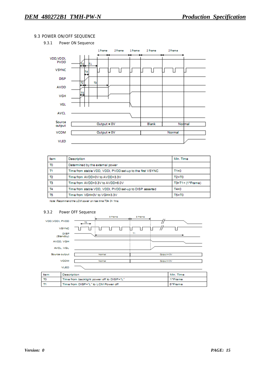#### 9.3 POWER ON/OFF SEQUENCE



| tem            | Description                                                | Min. Time             |
|----------------|------------------------------------------------------------|-----------------------|
| T <sub>0</sub> | Determined by the external power                           |                       |
| T١             | Time from stable VDD, VDDI, PVDD set-up to the first VSYNC | $T1 = 0$              |
| T2             | Time from AVDD=0V to AVDD=3.3V                             | $T2 = T0$             |
| T3             | Time from AVDD=3.3V to AVDD=6.0V                           | $T3 = T1 + (1*Frame)$ |
| Τ4             | Time from stable VDD, VDDI, PVDD set-up to DISP asserted   | $T4=0$                |
| T5             | Time from VGH=0V to VGH=3.3V                               | $T5 = T0$             |

Note: Recommend the LCM cower on rise time T0= 0~ 1ms.

#### 9.3.2 Power OFF Sequence

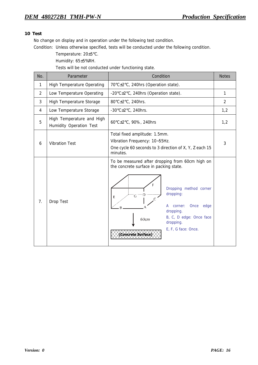## **10 Test**

No change on display and in operation under the following test condition.

Condition: Unless otherwise specified, tests will be conducted under the following condition.

Temperature: 20±5°C.

Humidity: 65±5%RH.

Tests will be not conducted under functioning state.

| No.            | Parameter                                            | Condition                                                                                                                                                                                                                                                                               | <b>Notes</b> |
|----------------|------------------------------------------------------|-----------------------------------------------------------------------------------------------------------------------------------------------------------------------------------------------------------------------------------------------------------------------------------------|--------------|
| $\mathbf{1}$   | <b>High Temperature Operating</b>                    | 70°C±2°C, 240hrs (Operation state).                                                                                                                                                                                                                                                     |              |
| $\overline{2}$ | Low Temperature Operating                            | -20°C±2°C, 240hrs (Operation state).                                                                                                                                                                                                                                                    | $\mathbf{1}$ |
| 3              | <b>High Temperature Storage</b>                      | 80°C±2°C, 240hrs.                                                                                                                                                                                                                                                                       | 2            |
| 4              | Low Temperature Storage                              | -30 $\textdegree$ C $\pm$ 2 $\textdegree$ C, 240hrs.                                                                                                                                                                                                                                    | 1,2          |
| 5              | High Temperature and High<br>Humidity Operation Test | 60°C±2°C, 90%, 240hrs                                                                                                                                                                                                                                                                   | 1,2          |
| 6              | <b>Vibration Test</b>                                | Total fixed amplitude: 1.5mm.<br>Vibration Frequency: 10~55Hz.<br>One cycle 60 seconds to 3 direction of X, Y, Z each 15<br>minutes.                                                                                                                                                    | 3            |
| 7.             | Drop Test                                            | To be measured after dropping from 60cm high on<br>the concrete surface in packing state.<br>F<br>Dropping method corner<br>dropping:<br>G<br>E<br>Once<br>edge<br>corner:<br>А<br>dropping.<br>B, C, D edge: Once face<br>60cm<br>dropping.<br>E, F, G face: Once.<br>Concrete Surface |              |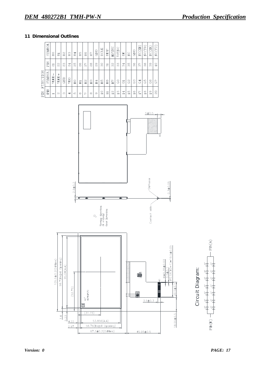## **11 Dimensional Outlines**

|              | TOHNAS        | BO                       | 窗                 | $_{\rm B2}$ | B3              | B4 | Вõ    | B6               | B7       | GND | <b>DCLK</b> | DISP            | HSYNC              | VSYNC          | 呂  | $\sum_{i=1}^{n}$ | GND                           | NC(XR)                             | NC(YD) | NC(XL)                        | NC(YU) |
|--------------|---------------|--------------------------|-------------------|-------------|-----------------|----|-------|------------------|----------|-----|-------------|-----------------|--------------------|----------------|----|------------------|-------------------------------|------------------------------------|--------|-------------------------------|--------|
|              | Nid           | ಸ                        | 23                | 23          | $\overline{24}$ | 25 | 26    | $\tilde{\Omega}$ | 88       | 29  | 30          | $\overline{5}$  | $\frac{2}{3}$      | 33             | 34 | 35               | 36                            | S7                                 | 38     | 39                            | 40     |
| FUNCTION     | <b>TOHIAS</b> | VLED-                    | $VLED +$          | GND         | VDD             | RO | $\Xi$ | $\mathbb{R}^2$   | R3       | R4  | R5          | R6              | R                  | C <sub>O</sub> | 5  | 2S               | c3                            | G <sub>4</sub>                     | 95     | 89                            | 5      |
| $\mathbb{H}$ | PIN           | $\overline{\phantom{0}}$ | $\mathbf{\alpha}$ | S           | 4               | Ю  | ဇ     | ∼                | $\infty$ | တ   | $\Omega$    | $\overline{11}$ | $\frac{\alpha}{2}$ | $\frac{3}{1}$  | 14 | 15               | G<br>$\overline{\phantom{0}}$ | $\sim$<br>$\overline{\phantom{0}}$ | œ<br>∸ | ာ<br>$\overline{\phantom{0}}$ | 20     |



 $PIN(A)$ ۲Þ uit Diagr Circ  $PIN(K)$ 

am:

 $5.23$ 

 $4.22$ 

 $2.97$ 

 $53.856(A.A)$ 

56.76(Bezel Opening)

67.2±0.2(Odtline)

 $45.95 \pm 0.5$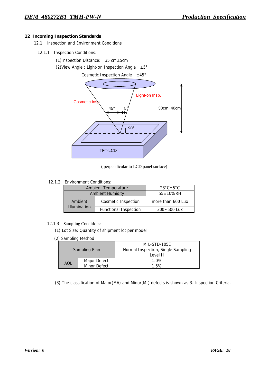#### **12 Incoming Inspection Standards**

- 12.1 Inspection and Environment Conditions
	- 12.1.1 Inspection Conditions:

(1)Inspection Distance: 35 cm±5cm

(2)View Angle : Light-on Inspection Angle︰±5°

Cosmetic Inspection Angle︰±45°



( perpendicular to LCD panel surface)

#### 12.1.2 Environment Conditions:

|                     | <b>Ambient Temperature</b>   | $23^{\circ}$ C $\pm$ 5 $^{\circ}$ C |
|---------------------|------------------------------|-------------------------------------|
|                     | <b>Ambient Humidity</b>      | $55 \pm 10\%$ RH                    |
| Ambient             | <b>Cosmetic Inspection</b>   | more than 600 Lux                   |
| <b>Illumination</b> | <b>Functional Inspection</b> | $300 - 500$ Lux                     |

#### 12.1.3 Sampling Conditions:

(1) Lot Size: Quantity of shipment lot per model

(2) Sampling Method:

|      |               | MIL-STD-105E                       |  |  |  |  |  |
|------|---------------|------------------------------------|--|--|--|--|--|
|      | Sampling Plan | Normal Inspection, Single Sampling |  |  |  |  |  |
|      |               | Level II                           |  |  |  |  |  |
|      | Major Defect  | 1.0%                               |  |  |  |  |  |
| AOI. | Minor Defect  | 1.5%                               |  |  |  |  |  |

(3) The classification of Major(MA) and Minor(MI) defects is shown as 3. Inspection Criteria.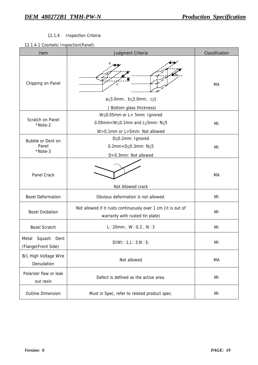## 12.1.4Inspection Criteria

## 12.1.4.1 Cosmetic Inspection(Panel):

| Item                                           | Judgment Criteria                                                                                                  | Classification |
|------------------------------------------------|--------------------------------------------------------------------------------------------------------------------|----------------|
| Chipping on Panel                              | $a \leq 3.0$ mm, b $\leq 3.0$ mm, c $\leq t$<br>(Bottom glass thickness)                                           | МA             |
| Scratch on Panel<br>*Note-2                    | W≦0.05mm or L< 5mm: Ignored<br>0.05mm< $W \le 0.1$ mm and L $\le 5$ mm: N $\le 5$<br>W>0.1mm or L>5mm: Not allowed | MI             |
| Bubble or Dent on<br>Panel<br>*Note-3          | D≦0.2mm: Ignored<br>0.2mm <d≤0.3mm: n≤5<br="">D&gt;0.3mm: Not allowed</d≤0.3mm:>                                   | MI             |
| <b>Panel Crack</b>                             | Not Allowed crack                                                                                                  | MA             |
| <b>Bezel Deformation</b>                       | Obvious deformation is not allowed.                                                                                | MI             |
| <b>Bezel Oxidation</b>                         | Not allowed if it rusts continuously over 1 cm (It is out of<br>warranty with rusted tin plate)                    | MI             |
| <b>Bezel Scratch</b>                           | L□20mm, W□0.2, N□3                                                                                                 | MI             |
| Squash<br>Metal<br>Dent<br>/Flange(Front Side) | $D(W) \square 1, L \square 3, N \square 3;$                                                                        | ΜI             |
| <b>B/L High Voltage Wire</b><br>Denudation     | Not allowed                                                                                                        | МA             |
| Polarizer flaw or leak<br>out resin            | Defect is defined as the active area.                                                                              | MI             |
| <b>Outline Dimension</b>                       | Must in Spec, refer to related product spec.                                                                       | ΜI             |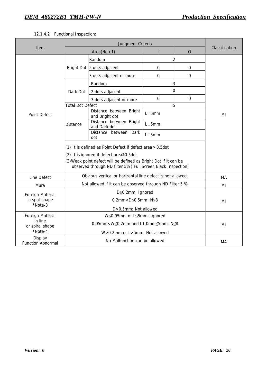# 12.1.4.2 Functional Inspection:

|                                                                  | Judgment Criteria                                                                                                                                                                                                                        |                                           |                 |              |                |  |
|------------------------------------------------------------------|------------------------------------------------------------------------------------------------------------------------------------------------------------------------------------------------------------------------------------------|-------------------------------------------|-----------------|--------------|----------------|--|
| Item                                                             |                                                                                                                                                                                                                                          | Area(Note1)                               |                 | $\mathbf{O}$ | Classification |  |
| <b>Point Defect</b>                                              |                                                                                                                                                                                                                                          | Random                                    | 2               |              |                |  |
|                                                                  |                                                                                                                                                                                                                                          | Bright Dot 2 dots adjacent                | 0               | $\mathbf 0$  |                |  |
|                                                                  |                                                                                                                                                                                                                                          | 3 dots adjacent or more                   | 0               | 0            |                |  |
|                                                                  | Dark Dot                                                                                                                                                                                                                                 | Random                                    | 3               |              |                |  |
|                                                                  |                                                                                                                                                                                                                                          | 2 dots adjacent                           | 0               |              |                |  |
|                                                                  |                                                                                                                                                                                                                                          | 3 dots adjacent or more                   | 0               | $\Omega$     |                |  |
|                                                                  | <b>Total Dot Defect</b><br>5                                                                                                                                                                                                             |                                           |                 |              |                |  |
|                                                                  | <b>Distance</b>                                                                                                                                                                                                                          | Distance between Bright<br>and Bright dot | $L \square 5mm$ |              | ΜI             |  |
|                                                                  |                                                                                                                                                                                                                                          | Distance between Bright<br>and Dark dot   | $L \square 5mm$ |              |                |  |
|                                                                  |                                                                                                                                                                                                                                          | Distance between Dark<br>dot              | $L \square 5mm$ |              |                |  |
|                                                                  | (1) It is defined as Point Defect if defect area > 0.5dot<br>(2) It is ignored if defect area≦0.5dot<br>(3) Weak point defect will be defined as Bright Dot if it can be<br>observed through ND filter 5% (Full Screen Black Inspection) |                                           |                 |              |                |  |
| Line Defect                                                      | Obvious vertical or horizontal line defect is not allowed.                                                                                                                                                                               |                                           |                 |              | MA             |  |
| Mura                                                             | Not allowed if it can be observed through ND Filter 5 %                                                                                                                                                                                  |                                           |                 |              | MI             |  |
| Foreign Material<br>in spot shape<br>*Note-3                     | D≦0.2mm: Ignored                                                                                                                                                                                                                         |                                           |                 |              |                |  |
|                                                                  | 0.2mm <d<math>\leq0.5mm: N<math>\leq</math>8</d<math>                                                                                                                                                                                    |                                           |                 |              | ΜI             |  |
|                                                                  | D>0.5mm: Not allowed                                                                                                                                                                                                                     |                                           |                 |              |                |  |
| <b>Foreign Material</b><br>in line<br>or spiral shape<br>*Note-4 | W≤0.05mm or L≤5mm: Ignored                                                                                                                                                                                                               |                                           |                 |              |                |  |
|                                                                  | $0.05$ mm <w<math>\leq0.2mm and L1.0mm<math>\leq</math>5mm: N<math>\leq</math>8</w<math>                                                                                                                                                 |                                           |                 |              | MI             |  |
|                                                                  | W>0.2mm or L>5mm: Not allowed                                                                                                                                                                                                            |                                           |                 |              |                |  |
| Display<br><b>Function Abnormal</b>                              | No Malfunction can be allowed                                                                                                                                                                                                            |                                           |                 |              | MA             |  |